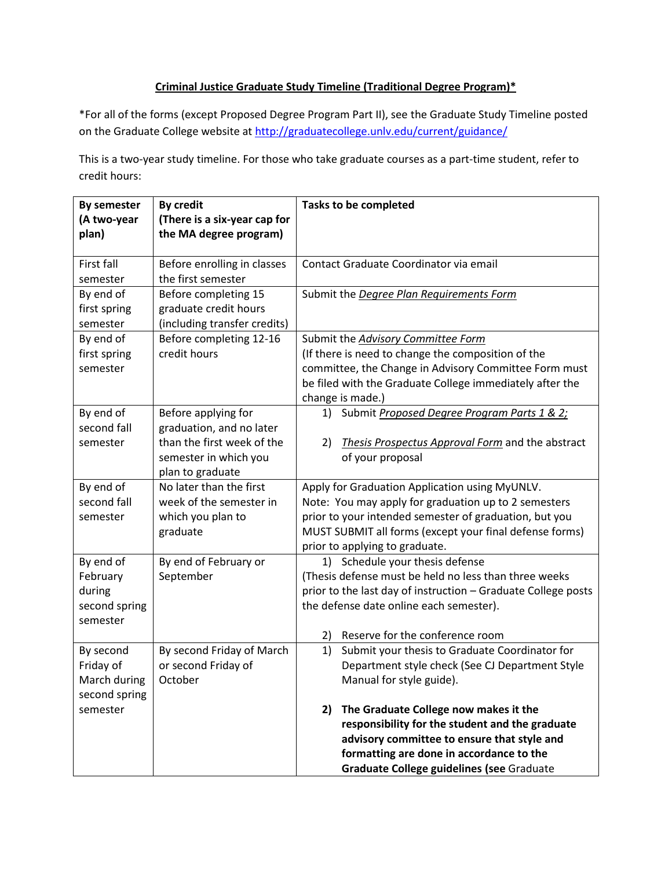## **Criminal Justice Graduate Study Timeline (Traditional Degree Program)\***

\*For all of the forms (except Proposed Degree Program Part II), see the Graduate Study Timeline posted on the Graduate College website at<http://graduatecollege.unlv.edu/current/guidance/>

This is a two-year study timeline. For those who take graduate courses as a part-time student, refer to credit hours:

| <b>By semester</b> | <b>By credit</b>             | <b>Tasks to be completed</b>                                  |  |
|--------------------|------------------------------|---------------------------------------------------------------|--|
| (A two-year        | (There is a six-year cap for |                                                               |  |
| plan)              | the MA degree program)       |                                                               |  |
|                    |                              |                                                               |  |
| First fall         | Before enrolling in classes  | Contact Graduate Coordinator via email                        |  |
| semester           | the first semester           |                                                               |  |
| By end of          | Before completing 15         | Submit the Degree Plan Requirements Form                      |  |
| first spring       | graduate credit hours        |                                                               |  |
| semester           | (including transfer credits) |                                                               |  |
| By end of          | Before completing 12-16      | Submit the Advisory Committee Form                            |  |
| first spring       | credit hours                 | (If there is need to change the composition of the            |  |
| semester           |                              | committee, the Change in Advisory Committee Form must         |  |
|                    |                              | be filed with the Graduate College immediately after the      |  |
|                    |                              | change is made.)                                              |  |
| By end of          | Before applying for          | 1) Submit Proposed Degree Program Parts 1 & 2;                |  |
| second fall        | graduation, and no later     |                                                               |  |
| semester           | than the first week of the   | Thesis Prospectus Approval Form and the abstract<br>2)        |  |
|                    | semester in which you        | of your proposal                                              |  |
|                    | plan to graduate             |                                                               |  |
| By end of          | No later than the first      | Apply for Graduation Application using MyUNLV.                |  |
| second fall        | week of the semester in      | Note: You may apply for graduation up to 2 semesters          |  |
| semester           | which you plan to            | prior to your intended semester of graduation, but you        |  |
|                    | graduate                     | MUST SUBMIT all forms (except your final defense forms)       |  |
|                    |                              | prior to applying to graduate.                                |  |
| By end of          | By end of February or        | 1) Schedule your thesis defense                               |  |
| February           | September                    | (Thesis defense must be held no less than three weeks         |  |
| during             |                              | prior to the last day of instruction - Graduate College posts |  |
| second spring      |                              | the defense date online each semester).                       |  |
| semester           |                              |                                                               |  |
|                    |                              | Reserve for the conference room<br>2)                         |  |
| By second          | By second Friday of March    | 1)<br>Submit your thesis to Graduate Coordinator for          |  |
| Friday of          | or second Friday of          | Department style check (See CJ Department Style               |  |
| March during       | October                      | Manual for style guide).                                      |  |
| second spring      |                              |                                                               |  |
| semester           |                              | The Graduate College now makes it the<br>2)                   |  |
|                    |                              | responsibility for the student and the graduate               |  |
|                    |                              | advisory committee to ensure that style and                   |  |
|                    |                              | formatting are done in accordance to the                      |  |
|                    |                              | Graduate College guidelines (see Graduate                     |  |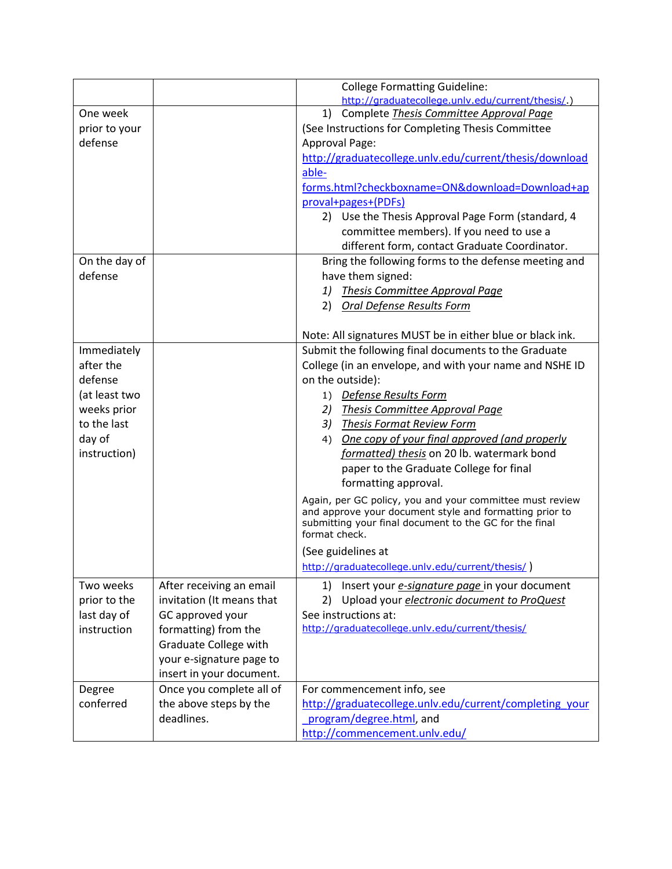|               |                           | <b>College Formatting Guideline:</b>                                                                                |  |  |
|---------------|---------------------------|---------------------------------------------------------------------------------------------------------------------|--|--|
|               |                           | http://graduatecollege.unlv.edu/current/thesis/.)                                                                   |  |  |
| One week      |                           | Complete Thesis Committee Approval Page<br>1)                                                                       |  |  |
| prior to your |                           | (See Instructions for Completing Thesis Committee                                                                   |  |  |
| defense       |                           | Approval Page:                                                                                                      |  |  |
|               |                           | http://graduatecollege.unlv.edu/current/thesis/download                                                             |  |  |
|               |                           | able-                                                                                                               |  |  |
|               |                           | forms.html?checkboxname=ON&download=Download+ap                                                                     |  |  |
|               |                           | proval+pages+(PDFs)                                                                                                 |  |  |
|               |                           | 2) Use the Thesis Approval Page Form (standard, 4                                                                   |  |  |
|               |                           | committee members). If you need to use a                                                                            |  |  |
|               |                           | different form, contact Graduate Coordinator.                                                                       |  |  |
| On the day of |                           | Bring the following forms to the defense meeting and                                                                |  |  |
| defense       |                           | have them signed:                                                                                                   |  |  |
|               |                           | <b>Thesis Committee Approval Page</b><br>1)                                                                         |  |  |
|               |                           | 2) Oral Defense Results Form                                                                                        |  |  |
|               |                           |                                                                                                                     |  |  |
|               |                           | Note: All signatures MUST be in either blue or black ink.                                                           |  |  |
| Immediately   |                           | Submit the following final documents to the Graduate                                                                |  |  |
| after the     |                           | College (in an envelope, and with your name and NSHE ID                                                             |  |  |
| defense       |                           | on the outside):                                                                                                    |  |  |
| (at least two |                           | 1) Defense Results Form                                                                                             |  |  |
| weeks prior   |                           | Thesis Committee Approval Page<br>2)                                                                                |  |  |
| to the last   |                           | 3) Thesis Format Review Form                                                                                        |  |  |
| day of        |                           | One copy of your final approved (and properly<br>4)                                                                 |  |  |
| instruction)  |                           | formatted) thesis on 20 lb. watermark bond                                                                          |  |  |
|               |                           | paper to the Graduate College for final                                                                             |  |  |
|               |                           | formatting approval.                                                                                                |  |  |
|               |                           | Again, per GC policy, you and your committee must review<br>and approve your document style and formatting prior to |  |  |
|               |                           | submitting your final document to the GC for the final<br>format check.                                             |  |  |
|               |                           | (See guidelines at                                                                                                  |  |  |
|               |                           | http://graduatecollege.unlv.edu/current/thesis/)                                                                    |  |  |
| Two weeks     | After receiving an email  | 1) Insert your <i>e-signature page</i> in your document                                                             |  |  |
| prior to the  | invitation (It means that | Upload your <i>electronic document to ProQuest</i><br>2)                                                            |  |  |
| last day of   | GC approved your          | See instructions at:                                                                                                |  |  |
| instruction   | formatting) from the      | http://graduatecollege.unlv.edu/current/thesis/                                                                     |  |  |
|               | Graduate College with     |                                                                                                                     |  |  |
|               | your e-signature page to  |                                                                                                                     |  |  |
|               | insert in your document.  |                                                                                                                     |  |  |
| Degree        | Once you complete all of  | For commencement info, see                                                                                          |  |  |
| conferred     | the above steps by the    | http://graduatecollege.unlv.edu/current/completing your                                                             |  |  |
|               | deadlines.                | program/degree.html, and                                                                                            |  |  |
|               |                           | http://commencement.unlv.edu/                                                                                       |  |  |